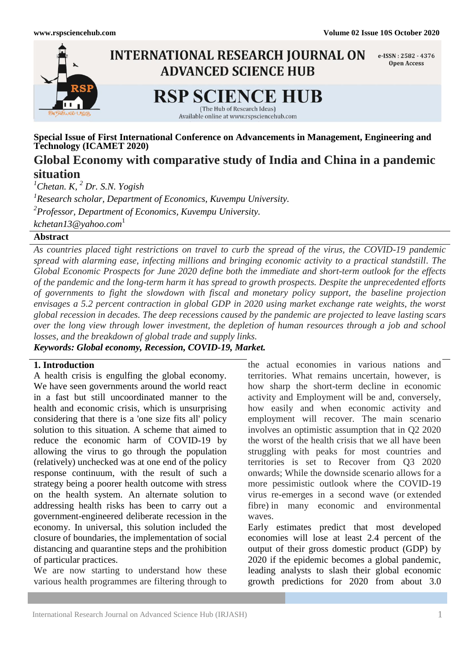

**Special Issue of First International Conference on Advancements in Management, Engineering and Technology (ICAMET 2020)**

## **Global Economy with comparative study of India and China in a pandemic situation**

*<sup>1</sup>Chetan. K, <sup>2</sup> Dr. S.N. Yogish*

*1 Research scholar, Department of Economics, Kuvempu University. 2 Professor, Department of Economics, Kuvempu University. [kchetan13@yahoo.com](mailto:kchetan13@yahoo.com)*<sup>1</sup>

### **Abstract**

*As countries placed tight restrictions on travel to curb the spread of the virus, the COVID-19 pandemic spread with alarming ease, infecting millions and bringing economic activity to a practical standstill. The Global Economic Prospects for June 2020 define both the immediate and short-term outlook for the effects of the pandemic and the long-term harm it has spread to growth prospects. Despite the unprecedented efforts of governments to fight the slowdown with fiscal and monetary policy support, the baseline projection envisages a 5.2 percent contraction in global GDP in 2020 using market exchange rate weights, the worst global recession in decades. The deep recessions caused by the pandemic are projected to leave lasting scars over the long view through lower investment, the depletion of human resources through a job and school losses, and the breakdown of global trade and supply links. Keywords: Global economy, Recession, COVID-19, Market.*

### **1. Introduction**

A health crisis is engulfing the global economy. We have seen governments around the world react in a fast but still uncoordinated manner to the health and economic crisis, which is unsurprising considering that there is a 'one size fits all' policy solution to this situation. A scheme that aimed to reduce the economic harm of COVID-19 by allowing the virus to go through the population (relatively) unchecked was at one end of the policy response continuum, with the result of such a strategy being a poorer health outcome with stress on the health system. An alternate solution to addressing health risks has been to carry out a government-engineered deliberate recession in the economy. In universal, this solution included the closure of boundaries, the implementation of social distancing and quarantine steps and the prohibition of particular practices.

We are now starting to understand how these various health programmes are filtering through to

the actual economies in various nations and territories. What remains uncertain, however, is how sharp the short-term decline in economic activity and Employment will be and, conversely, how easily and when economic activity and employment will recover. The main scenario involves an optimistic assumption that in Q2 2020 the worst of the health crisis that we all have been struggling with peaks for most countries and territories is set to Recover from Q3 2020 onwards; While the downside scenario allows for a more pessimistic outlook where the COVID-19 virus re-emerges in a second wave (or extended fibre) in many economic and environmental waves.

Early estimates predict that most developed economies will lose at least 2.4 percent of the output of their gross domestic product (GDP) by 2020 if the epidemic becomes a global pandemic, leading analysts to slash their global economic growth predictions for 2020 from about 3.0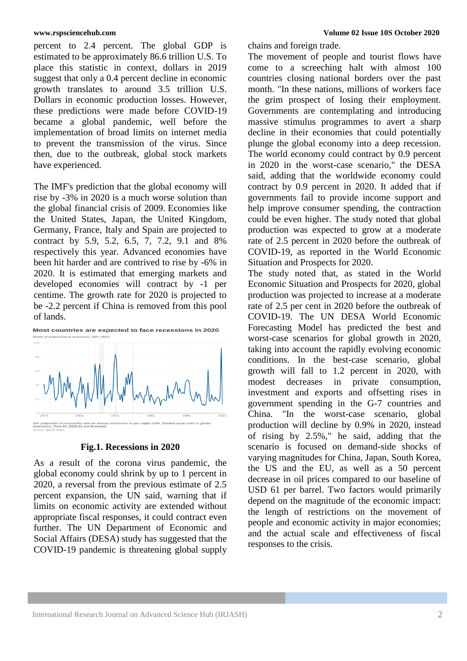percent to 2.4 percent. The global GDP is estimated to be approximately 86.6 trillion U.S. To place this statistic in context, dollars in 2019 suggest that only a 0.4 percent decline in economic growth translates to around 3.5 trillion U.S. Dollars in economic production losses. However, these predictions were made before COVID-19 became a global pandemic, well before the implementation of broad limits on internet media to prevent the transmission of the virus. Since then, due to the outbreak, global stock markets have experienced.

The IMF's prediction that the global economy will rise by -3% in 2020 is a much worse solution than the global financial crisis of 2009. Economies like the United States, Japan, the United Kingdom, Germany, France, Italy and Spain are projected to contract by 5.9, 5.2, 6.5, 7, 7.2, 9.1 and 8% respectively this year. Advanced economies have been hit harder and are contrived to rise by -6% in 2020. It is estimated that emerging markets and developed economies will contract by -1 per centime. The growth rate for 2020 is projected to be -2.2 percent if China is removed from this pool of lands.



**Fig.1. Recessions in 2020**

As a result of the corona virus pandemic, the global economy could shrink by up to 1 percent in 2020, a reversal from the previous estimate of 2.5 percent expansion, the UN said, warning that if limits on economic activity are extended without appropriate fiscal responses, it could contract even further. The UN Department of Economic and Social Affairs (DESA) study has suggested that the COVID-19 pandemic is threatening global supply

chains and foreign trade.

The movement of people and tourist flows have come to a screeching halt with almost 100 countries closing national borders over the past month. "In these nations, millions of workers face the grim prospect of losing their employment. Governments are contemplating and introducing massive stimulus programmes to avert a sharp decline in their economies that could potentially plunge the global economy into a deep recession. The world economy could contract by 0.9 percent in 2020 in the worst-case scenario," the DESA said, adding that the worldwide economy could contract by 0.9 percent in 2020. It added that if governments fail to provide income support and help improve consumer spending, the contraction could be even higher. The study noted that global production was expected to grow at a moderate rate of 2.5 percent in 2020 before the outbreak of COVID-19, as reported in the World Economic Situation and Prospects for 2020.

The study noted that, as stated in the World Economic Situation and Prospects for 2020, global production was projected to increase at a moderate rate of 2.5 per cent in 2020 before the outbreak of COVID-19. The UN DESA World Economic Forecasting Model has predicted the best and worst-case scenarios for global growth in 2020, taking into account the rapidly evolving economic conditions. In the best-case scenario, global growth will fall to 1.2 percent in 2020, with modest decreases in private consumption, investment and exports and offsetting rises in government spending in the G-7 countries and China. "In the worst-case scenario, global production will decline by 0.9% in 2020, instead of rising by 2.5%," he said, adding that the scenario is focused on demand-side shocks of varying magnitudes for China, Japan, South Korea, the US and the EU, as well as a 50 percent decrease in oil prices compared to our baseline of USD 61 per barrel. Two factors would primarily depend on the magnitude of the economic impact: the length of restrictions on the movement of people and economic activity in major economies; and the actual scale and effectiveness of fiscal responses to the crisis.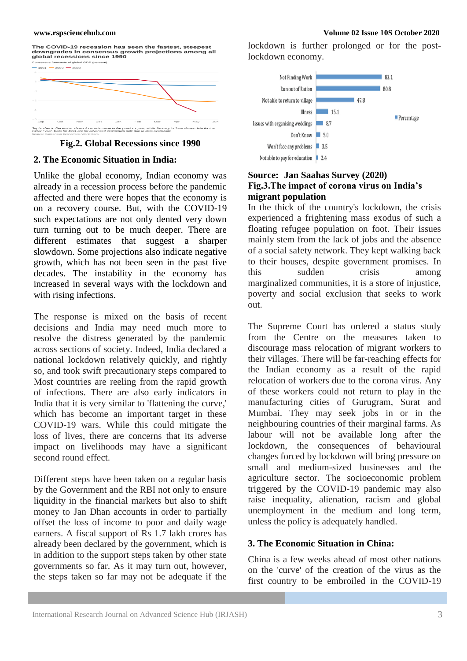

# er to December shows fore<br>יום Data for 1991 are for a

**Fig.2. Global Recessions since 1990**

#### **2. The Economic Situation in India:**

Unlike the global economy, Indian economy was already in a recession process before the pandemic affected and there were hopes that the economy is on a recovery course. But, with the COVID-19 such expectations are not only dented very down turn turning out to be much deeper. There are different estimates that suggest a sharper slowdown. Some projections also indicate negative growth, which has not been seen in the past five decades. The instability in the economy has increased in several ways with the lockdown and with rising infections.

The response is mixed on the basis of recent decisions and India may need much more to resolve the distress generated by the pandemic across sections of society. Indeed, India declared a national lockdown relatively quickly, and rightly so, and took swift precautionary steps compared to Most countries are reeling from the rapid growth of infections. There are also early indicators in India that it is very similar to 'flattening the curve,' which has become an important target in these COVID-19 wars. While this could mitigate the loss of lives, there are concerns that its adverse impact on livelihoods may have a significant second round effect.

Different steps have been taken on a regular basis by the Government and the RBI not only to ensure liquidity in the financial markets but also to shift money to Jan Dhan accounts in order to partially offset the loss of income to poor and daily wage earners. A fiscal support of Rs 1.7 lakh crores has already been declared by the government, which is in addition to the support steps taken by other state governments so far. As it may turn out, however, the steps taken so far may not be adequate if the

lockdown is further prolonged or for the postlockdown economy.



### **Source: [Jan Saahas Survey \(2020\)](https://journals.sagepub.com/doi/full/10.1177/0972063420935541) Fig.3.The impact of corona virus on India's migrant population**

In the thick of the country's lockdown, the crisis experienced a frightening mass exodus of such a floating refugee population on foot. Their issues mainly stem from the lack of jobs and the absence of a social safety network. They kept walking back to their houses, despite government promises. In this sudden crisis among marginalized communities, it is a store of injustice, poverty and social exclusion that seeks to work out.

The Supreme Court has ordered a status study from the Centre on the measures taken to discourage mass relocation of migrant workers to their villages. There will be far-reaching effects for the Indian economy as a result of the rapid relocation of workers due to the corona virus. Any of these workers could not return to play in the manufacturing cities of Gurugram, Surat and Mumbai. They may seek jobs in or in the neighbouring countries of their marginal farms. As labour will not be available long after the lockdown, the consequences of behavioural changes forced by lockdown will bring pressure on small and medium-sized businesses and the agriculture sector. The socioeconomic problem triggered by the COVID-19 pandemic may also raise inequality, alienation, racism and global unemployment in the medium and long term, unless the policy is adequately handled.

### **3. The Economic Situation in China:**

China is a few weeks ahead of most other nations on the 'curve' of the creation of the virus as the first country to be embroiled in the COVID-19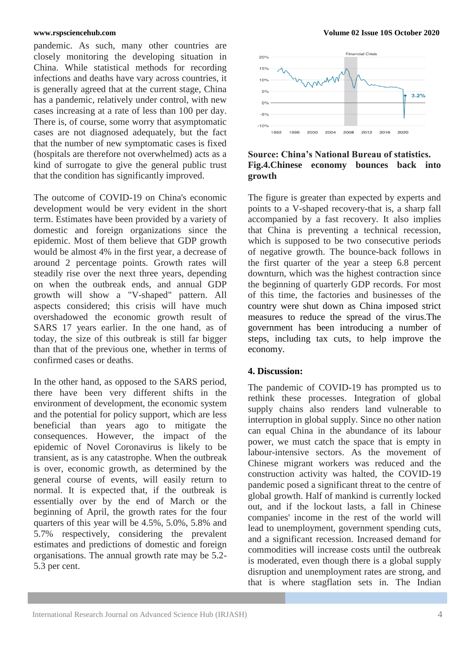pandemic. As such, many other countries are closely monitoring the developing situation in China. While statistical methods for recording infections and deaths have vary across countries, it is generally agreed that at the current stage, China has a pandemic, relatively under control, with new cases increasing at a rate of less than 100 per day. There is, of course, some worry that asymptomatic cases are not diagnosed adequately, but the fact that the number of new symptomatic cases is fixed (hospitals are therefore not overwhelmed) acts as a kind of surrogate to give the general public trust that the condition has significantly improved.

The outcome of COVID-19 on China's economic development would be very evident in the short term. Estimates have been provided by a variety of domestic and foreign organizations since the epidemic. Most of them believe that GDP growth would be almost 4% in the first year, a decrease of around 2 percentage points. Growth rates will steadily rise over the next three years, depending on when the outbreak ends, and annual GDP growth will show a "V-shaped" pattern. All aspects considered; this crisis will have much overshadowed the economic growth result of SARS 17 years earlier. In the one hand, as of today, the size of this outbreak is still far bigger than that of the previous one, whether in terms of confirmed cases or deaths.

In the other hand, as opposed to the SARS period, there have been very different shifts in the environment of development, the economic system and the potential for policy support, which are less beneficial than years ago to mitigate the consequences. However, the impact of the epidemic of Novel Coronavirus is likely to be transient, as is any catastrophe. When the outbreak is over, economic growth, as determined by the general course of events, will easily return to normal. It is expected that, if the outbreak is essentially over by the end of March or the beginning of April, the growth rates for the four quarters of this year will be 4.5%, 5.0%, 5.8% and 5.7% respectively, considering the prevalent estimates and predictions of domestic and foreign organisations. The annual growth rate may be 5.2- 5.3 per cent.



### **Source: China's National Bureau of statistics. Fig.4.Chinese economy bounces back into growth**

The figure is greater than expected by experts and points to a V-shaped recovery-that is, a sharp fall accompanied by a fast recovery. It also implies that China is preventing a technical recession, which is supposed to be two consecutive periods of negative growth. The bounce-back follows in the first quarter of the year a steep 6.8 percent downturn, which was the highest contraction since the beginning of quarterly GDP records. For most of this time, the factories and businesses of the country were shut down as China imposed strict measures to reduce the spread of the virus.The government has been introducing a number of steps, including tax cuts, to help improve the economy.

### **4. Discussion:**

The pandemic of COVID-19 has prompted us to rethink these processes. Integration of global supply chains also renders land vulnerable to interruption in global supply. Since no other nation can equal China in the abundance of its labour power, we must catch the space that is empty in labour-intensive sectors. As the movement of Chinese migrant workers was reduced and the construction activity was halted, the COVID-19 pandemic posed a significant threat to the centre of global growth. Half of mankind is currently locked out, and if the lockout lasts, a fall in Chinese companies' income in the rest of the world will lead to unemployment, government spending cuts, and a significant recession. Increased demand for commodities will increase costs until the outbreak is moderated, even though there is a global supply disruption and unemployment rates are strong, and that is where stagflation sets in. The Indian